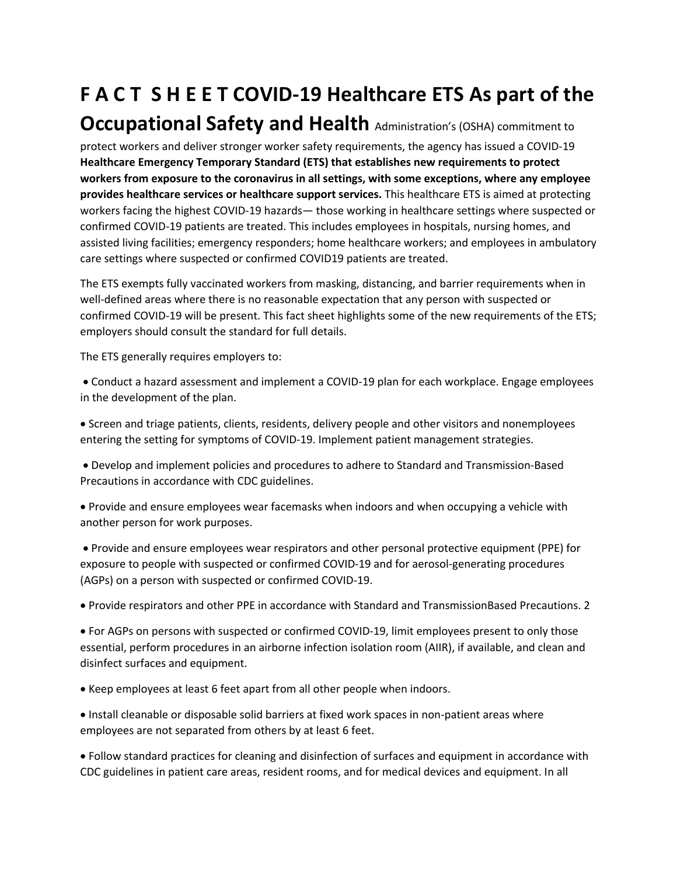## **F A C T S H E E T COVID-19 Healthcare ETS As part of the**

## **Occupational Safety and Health** Administration's (OSHA) commitment to

protect workers and deliver stronger worker safety requirements, the agency has issued a COVID-19 **Healthcare Emergency Temporary Standard (ETS) that establishes new requirements to protect workers from exposure to the coronavirus in all settings, with some exceptions, where any employee provides healthcare services or healthcare support services.** This healthcare ETS is aimed at protecting workers facing the highest COVID-19 hazards— those working in healthcare settings where suspected or confirmed COVID-19 patients are treated. This includes employees in hospitals, nursing homes, and assisted living facilities; emergency responders; home healthcare workers; and employees in ambulatory care settings where suspected or confirmed COVID19 patients are treated.

The ETS exempts fully vaccinated workers from masking, distancing, and barrier requirements when in well-defined areas where there is no reasonable expectation that any person with suspected or confirmed COVID-19 will be present. This fact sheet highlights some of the new requirements of the ETS; employers should consult the standard for full details.

The ETS generally requires employers to:

- Conduct a hazard assessment and implement a COVID-19 plan for each workplace. Engage employees in the development of the plan.
- Screen and triage patients, clients, residents, delivery people and other visitors and nonemployees entering the setting for symptoms of COVID-19. Implement patient management strategies.

• Develop and implement policies and procedures to adhere to Standard and Transmission-Based Precautions in accordance with CDC guidelines.

- Provide and ensure employees wear facemasks when indoors and when occupying a vehicle with another person for work purposes.
- Provide and ensure employees wear respirators and other personal protective equipment (PPE) for exposure to people with suspected or confirmed COVID-19 and for aerosol-generating procedures (AGPs) on a person with suspected or confirmed COVID-19.

• Provide respirators and other PPE in accordance with Standard and TransmissionBased Precautions. 2

- For AGPs on persons with suspected or confirmed COVID-19, limit employees present to only those essential, perform procedures in an airborne infection isolation room (AIIR), if available, and clean and disinfect surfaces and equipment.
- Keep employees at least 6 feet apart from all other people when indoors.
- Install cleanable or disposable solid barriers at fixed work spaces in non-patient areas where employees are not separated from others by at least 6 feet.

• Follow standard practices for cleaning and disinfection of surfaces and equipment in accordance with CDC guidelines in patient care areas, resident rooms, and for medical devices and equipment. In all